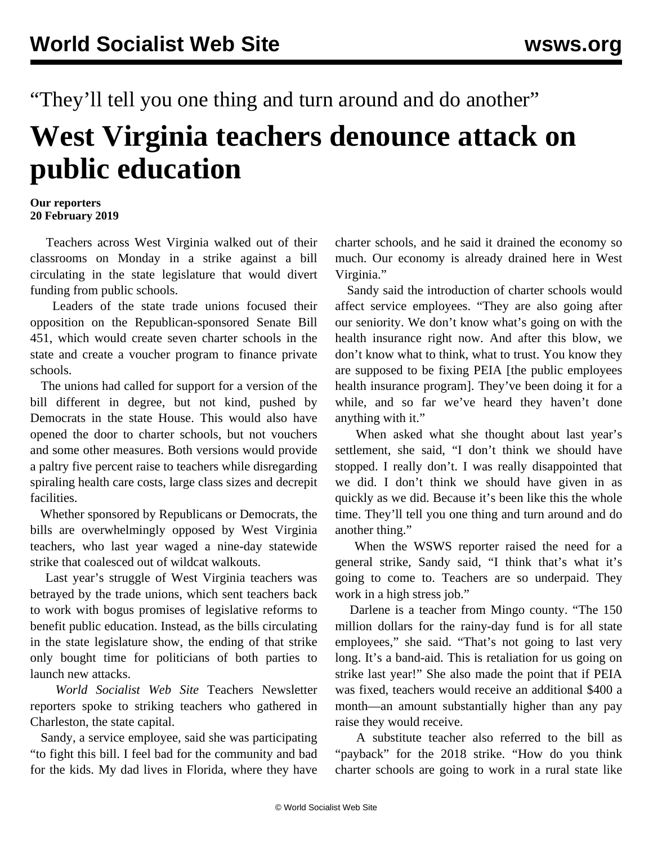"They'll tell you one thing and turn around and do another"

## **West Virginia teachers denounce attack on public education**

## **Our reporters 20 February 2019**

 Teachers across West Virginia walked out of their classrooms on Monday in a strike against a bill circulating in the state legislature that would divert funding from public schools.

 Leaders of the state trade unions focused their opposition on the Republican-sponsored Senate Bill 451, which would create seven charter schools in the state and create a voucher program to finance private schools.

 The unions had called for support for a version of the bill different in degree, but not kind, pushed by Democrats in the state House. This would also have opened the door to charter schools, but not vouchers and some other measures. Both versions would provide a paltry five percent raise to teachers while disregarding spiraling health care costs, large class sizes and decrepit facilities.

 Whether sponsored by Republicans or Democrats, the bills are overwhelmingly opposed by West Virginia teachers, who last year waged a nine-day statewide strike that coalesced out of wildcat walkouts.

 Last year's struggle of West Virginia teachers was betrayed by the trade unions, which sent teachers back to work with bogus promises of legislative reforms to benefit public education. Instead, as the bills circulating in the state legislature show, the ending of that strike only bought time for politicians of both parties to launch new attacks.

 *World Socialist Web Site* Teachers Newsletter reporters spoke to striking teachers who gathered in Charleston, the state capital.

 Sandy, a service employee, said she was participating "to fight this bill. I feel bad for the community and bad for the kids. My dad lives in Florida, where they have

charter schools, and he said it drained the economy so much. Our economy is already drained here in West Virginia."

 Sandy said the introduction of charter schools would affect service employees. "They are also going after our seniority. We don't know what's going on with the health insurance right now. And after this blow, we don't know what to think, what to trust. You know they are supposed to be fixing PEIA [the public employees health insurance program]. They've been doing it for a while, and so far we've heard they haven't done anything with it."

 When asked what she thought about last year's settlement, she said, "I don't think we should have stopped. I really don't. I was really disappointed that we did. I don't think we should have given in as quickly as we did. Because it's been like this the whole time. They'll tell you one thing and turn around and do another thing."

 When the WSWS reporter raised the need for a general strike, Sandy said, "I think that's what it's going to come to. Teachers are so underpaid. They work in a high stress job."

 Darlene is a teacher from Mingo county. "The 150 million dollars for the rainy-day fund is for all state employees," she said. "That's not going to last very long. It's a band-aid. This is retaliation for us going on strike last year!" She also made the point that if PEIA was fixed, teachers would receive an additional \$400 a month—an amount substantially higher than any pay raise they would receive.

 A substitute teacher also referred to the bill as "payback" for the 2018 strike. "How do you think charter schools are going to work in a rural state like